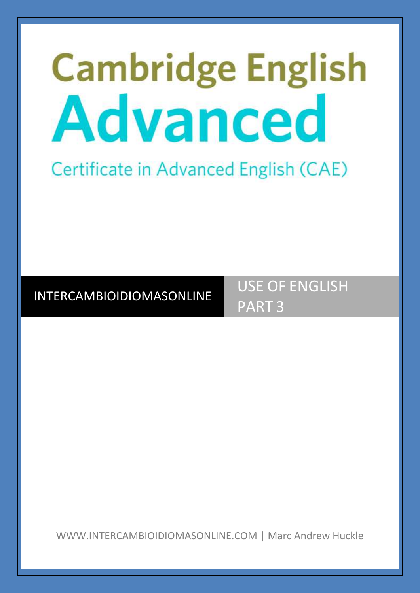# **Cambridge English** Advanced

# Certificate in Advanced English (CAE)

# INTERCAMBIOIDIOMASONLINE

USE OF ENGLISH PART 3

WWW.INTERCAMBIOIDIOMASONLINE.COM | Marc Andrew Huckle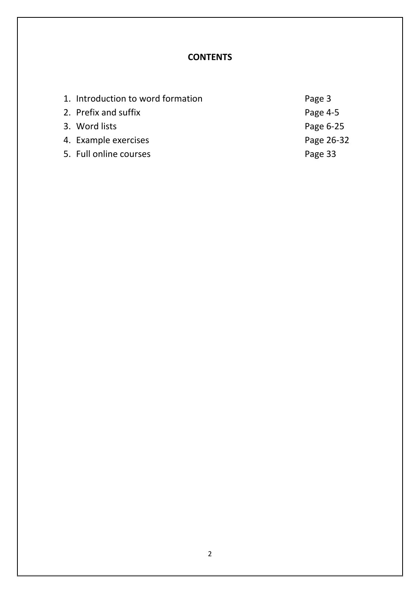# **CONTENTS**

| 1. Introduction to word formation | Page 3     |
|-----------------------------------|------------|
| 2. Prefix and suffix              | Page $4-5$ |
| 3. Word lists                     | Page 6-25  |
| 4. Example exercises              | Page 26-32 |
| 5. Full online courses            | Page 33    |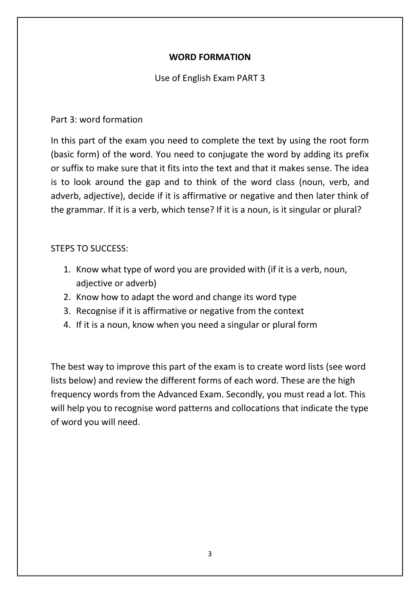# **WORD FORMATION**

## Use of English Exam PART 3

### Part 3: word formation

In this part of the exam you need to complete the text by using the root form (basic form) of the word. You need to conjugate the word by adding its prefix or suffix to make sure that it fits into the text and that it makes sense. The idea is to look around the gap and to think of the word class (noun, verb, and adverb, adjective), decide if it is affirmative or negative and then later think of the grammar. If it is a verb, which tense? If it is a noun, is it singular or plural?

## STEPS TO SUCCESS:

- 1. Know what type of word you are provided with (if it is a verb, noun, adjective or adverb)
- 2. Know how to adapt the word and change its word type
- 3. Recognise if it is affirmative or negative from the context
- 4. If it is a noun, know when you need a singular or plural form

The best way to improve this part of the exam is to create word lists (see word lists below) and review the different forms of each word. These are the high frequency words from the Advanced Exam. Secondly, you must read a lot. This will help you to recognise word patterns and collocations that indicate the type of word you will need.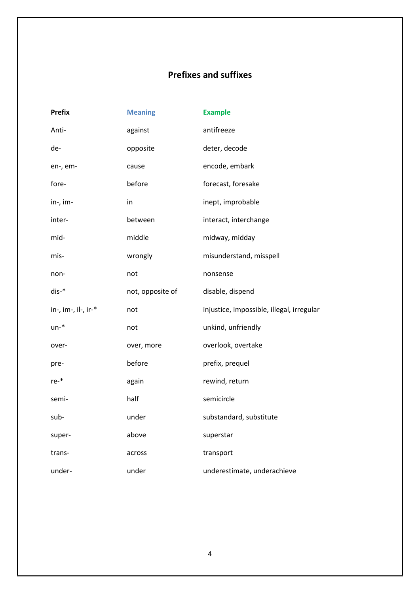# **Prefixes and suffixes**

| <b>Prefix</b>       | <b>Meaning</b>   | <b>Example</b>                            |
|---------------------|------------------|-------------------------------------------|
| Anti-               | against          | antifreeze                                |
| de-                 | opposite         | deter, decode                             |
| en-, em-            | cause            | encode, embark                            |
| fore-               | before           | forecast, foresake                        |
| in-, im-            | in               | inept, improbable                         |
| inter-              | between          | interact, interchange                     |
| mid-                | middle           | midway, midday                            |
| mis-                | wrongly          | misunderstand, misspell                   |
| non-                | not              | nonsense                                  |
| dis-*               | not, opposite of | disable, dispend                          |
| in-, im-, il-, ir-* | not              | injustice, impossible, illegal, irregular |
| $un-*$              | not              | unkind, unfriendly                        |
| over-               | over, more       | overlook, overtake                        |
| pre-                | before           | prefix, prequel                           |
| re-*                | again            | rewind, return                            |
| semi-               | half             | semicircle                                |
| sub-                | under            | substandard, substitute                   |
| super-              | above            | superstar                                 |
| trans-              | across           | transport                                 |
| under-              | under            | underestimate, underachieve               |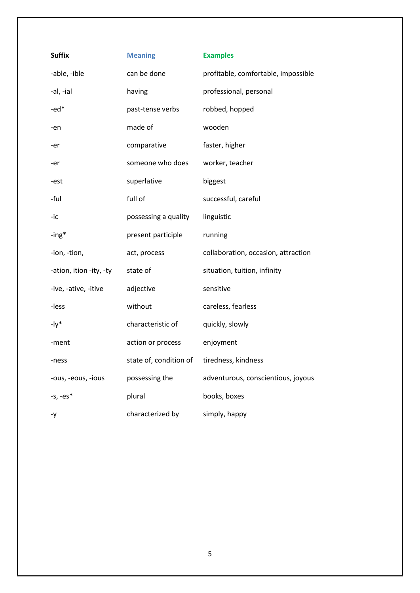| <b>Suffix</b>           | <b>Meaning</b>         | <b>Examples</b>                     |
|-------------------------|------------------------|-------------------------------------|
| -able, -ible            | can be done            | profitable, comfortable, impossible |
| -al, -ial               | having                 | professional, personal              |
| $-ed*$                  | past-tense verbs       | robbed, hopped                      |
| -en                     | made of                | wooden                              |
| -er                     | comparative            | faster, higher                      |
| -er                     | someone who does       | worker, teacher                     |
| -est                    | superlative            | biggest                             |
| -ful                    | full of                | successful, careful                 |
| -ic                     | possessing a quality   | linguistic                          |
| -ing*                   | present participle     | running                             |
| -ion, -tion,            | act, process           | collaboration, occasion, attraction |
| -ation, ition -ity, -ty | state of               | situation, tuition, infinity        |
| -ive, -ative, -itive    | adjective              | sensitive                           |
| -less                   | without                | careless, fearless                  |
| $-1y^*$                 | characteristic of      | quickly, slowly                     |
| -ment                   | action or process      | enjoyment                           |
| -ness                   | state of, condition of | tiredness, kindness                 |
| -ous, -eous, -ious      | possessing the         | adventurous, conscientious, joyous  |
| $-5, -es*$              | plural                 | books, boxes                        |
| -y                      | characterized by       | simply, happy                       |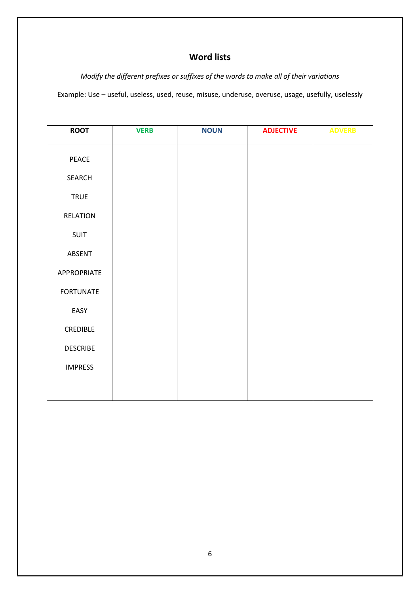# **Word lists**

*Modify the different prefixes or suffixes of the words to make all of their variations* Example: Use – useful, useless, used, reuse, misuse, underuse, overuse, usage, usefully, uselessly

| <b>ROOT</b>      | <b>VERB</b> | <b>NOUN</b> | <b>ADJECTIVE</b> | <b>ADVERB</b> |
|------------------|-------------|-------------|------------------|---------------|
| PEACE            |             |             |                  |               |
| SEARCH           |             |             |                  |               |
| <b>TRUE</b>      |             |             |                  |               |
| <b>RELATION</b>  |             |             |                  |               |
| SUIT             |             |             |                  |               |
| ABSENT           |             |             |                  |               |
| APPROPRIATE      |             |             |                  |               |
| <b>FORTUNATE</b> |             |             |                  |               |
| EASY             |             |             |                  |               |
| CREDIBLE         |             |             |                  |               |
| <b>DESCRIBE</b>  |             |             |                  |               |
| <b>IMPRESS</b>   |             |             |                  |               |
|                  |             |             |                  |               |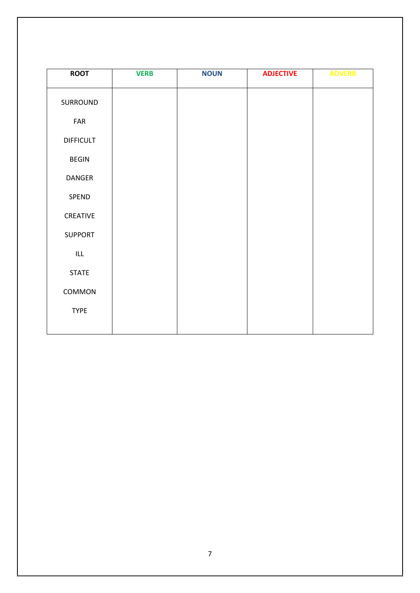| <b>ROOT</b>                        | <b>VERB</b> | <b>NOUN</b> | <b>ADJECTIVE</b> | <b>ADVERB</b> |
|------------------------------------|-------------|-------------|------------------|---------------|
| SURROUND                           |             |             |                  |               |
| FAR                                |             |             |                  |               |
| <b>DIFFICULT</b>                   |             |             |                  |               |
| <b>BEGIN</b>                       |             |             |                  |               |
| DANGER                             |             |             |                  |               |
| SPEND                              |             |             |                  |               |
| CREATIVE                           |             |             |                  |               |
| <b>SUPPORT</b>                     |             |             |                  |               |
| $\ensuremath{\mathsf{ILL}}\xspace$ |             |             |                  |               |
| <b>STATE</b>                       |             |             |                  |               |
| COMMON                             |             |             |                  |               |
| <b>TYPE</b>                        |             |             |                  |               |
|                                    |             |             |                  |               |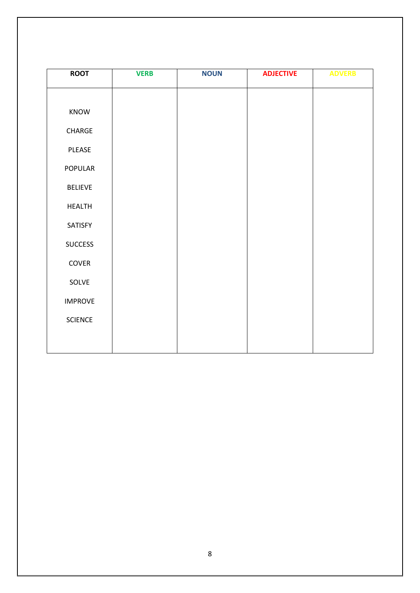| <b>ROOT</b>    | <b>VERB</b> | <b>NOUN</b> | <b>ADJECTIVE</b> | <b>ADVERB</b> |
|----------------|-------------|-------------|------------------|---------------|
|                |             |             |                  |               |
| KNOW           |             |             |                  |               |
| CHARGE         |             |             |                  |               |
| PLEASE         |             |             |                  |               |
| POPULAR        |             |             |                  |               |
| <b>BELIEVE</b> |             |             |                  |               |
| <b>HEALTH</b>  |             |             |                  |               |
| SATISFY        |             |             |                  |               |
| <b>SUCCESS</b> |             |             |                  |               |
| COVER          |             |             |                  |               |
| SOLVE          |             |             |                  |               |
| <b>IMPROVE</b> |             |             |                  |               |
| SCIENCE        |             |             |                  |               |
|                |             |             |                  |               |
|                |             |             |                  |               |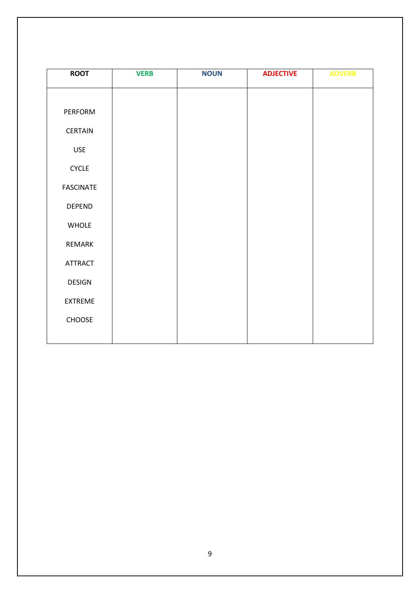| <b>ROOT</b>      | <b>VERB</b> | <b>NOUN</b> | <b>ADJECTIVE</b> | <b>ADVERB</b> |
|------------------|-------------|-------------|------------------|---------------|
|                  |             |             |                  |               |
| PERFORM          |             |             |                  |               |
| CERTAIN          |             |             |                  |               |
| <b>USE</b>       |             |             |                  |               |
| <b>CYCLE</b>     |             |             |                  |               |
| <b>FASCINATE</b> |             |             |                  |               |
| <b>DEPEND</b>    |             |             |                  |               |
| WHOLE            |             |             |                  |               |
| REMARK           |             |             |                  |               |
| <b>ATTRACT</b>   |             |             |                  |               |
| <b>DESIGN</b>    |             |             |                  |               |
| EXTREME          |             |             |                  |               |
| CHOOSE           |             |             |                  |               |
|                  |             |             |                  |               |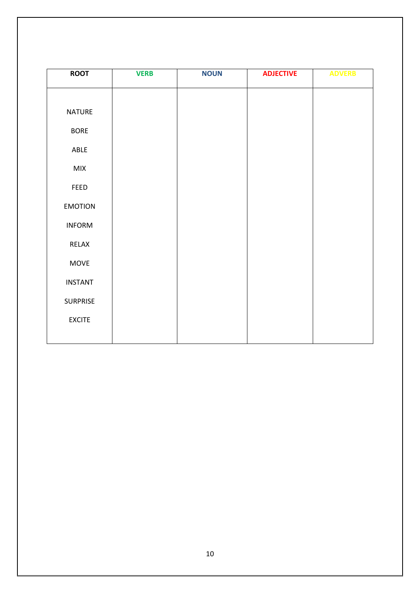| <b>ROOT</b>    | <b>VERB</b> | <b>NOUN</b> | <b>ADJECTIVE</b> | <b>ADVERB</b> |
|----------------|-------------|-------------|------------------|---------------|
|                |             |             |                  |               |
| <b>NATURE</b>  |             |             |                  |               |
| <b>BORE</b>    |             |             |                  |               |
| ABLE           |             |             |                  |               |
| MIX            |             |             |                  |               |
| FEED           |             |             |                  |               |
| <b>EMOTION</b> |             |             |                  |               |
| <b>INFORM</b>  |             |             |                  |               |
| RELAX          |             |             |                  |               |
| MOVE           |             |             |                  |               |
| <b>INSTANT</b> |             |             |                  |               |
| SURPRISE       |             |             |                  |               |
| <b>EXCITE</b>  |             |             |                  |               |
|                |             |             |                  |               |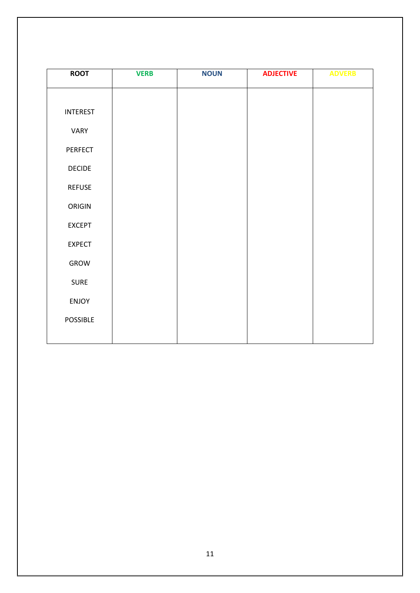| <b>ROOT</b>     | <b>VERB</b> | <b>NOUN</b> | <b>ADJECTIVE</b> | <b>ADVERB</b> |
|-----------------|-------------|-------------|------------------|---------------|
|                 |             |             |                  |               |
| <b>INTEREST</b> |             |             |                  |               |
| VARY            |             |             |                  |               |
| PERFECT         |             |             |                  |               |
| <b>DECIDE</b>   |             |             |                  |               |
| <b>REFUSE</b>   |             |             |                  |               |
| ORIGIN          |             |             |                  |               |
| <b>EXCEPT</b>   |             |             |                  |               |
| <b>EXPECT</b>   |             |             |                  |               |
| GROW            |             |             |                  |               |
| <b>SURE</b>     |             |             |                  |               |
| <b>ENJOY</b>    |             |             |                  |               |
| <b>POSSIBLE</b> |             |             |                  |               |
|                 |             |             |                  |               |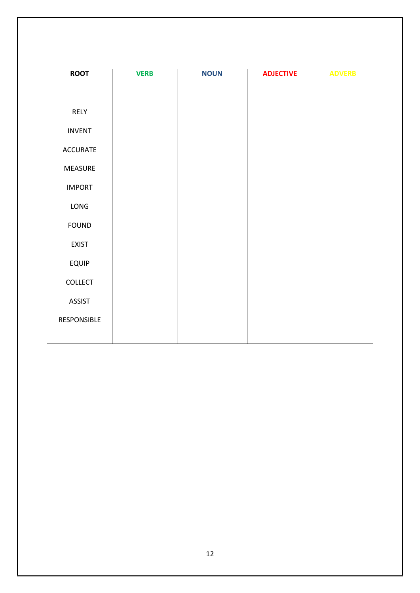| <b>ROOT</b>     | <b>VERB</b> | <b>NOUN</b> | <b>ADJECTIVE</b> | <b>ADVERB</b> |
|-----------------|-------------|-------------|------------------|---------------|
|                 |             |             |                  |               |
| RELY            |             |             |                  |               |
| <b>INVENT</b>   |             |             |                  |               |
| <b>ACCURATE</b> |             |             |                  |               |
| MEASURE         |             |             |                  |               |
| <b>IMPORT</b>   |             |             |                  |               |
| LONG            |             |             |                  |               |
| <b>FOUND</b>    |             |             |                  |               |
| <b>EXIST</b>    |             |             |                  |               |
| <b>EQUIP</b>    |             |             |                  |               |
| COLLECT         |             |             |                  |               |
| <b>ASSIST</b>   |             |             |                  |               |
| RESPONSIBLE     |             |             |                  |               |
|                 |             |             |                  |               |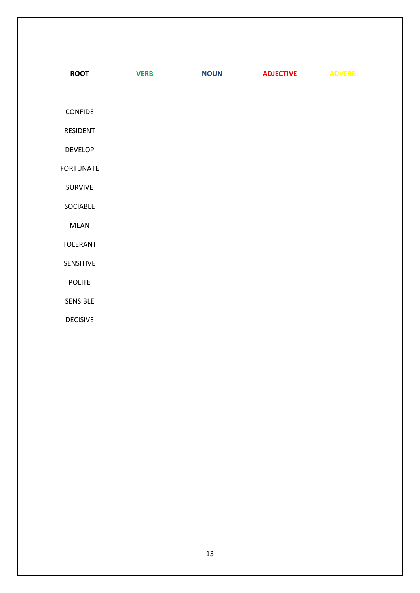| <b>ROOT</b>      | <b>VERB</b> | <b>NOUN</b> | <b>ADJECTIVE</b> | <b>ADVERB</b> |
|------------------|-------------|-------------|------------------|---------------|
|                  |             |             |                  |               |
| <b>CONFIDE</b>   |             |             |                  |               |
| RESIDENT         |             |             |                  |               |
| <b>DEVELOP</b>   |             |             |                  |               |
| <b>FORTUNATE</b> |             |             |                  |               |
| <b>SURVIVE</b>   |             |             |                  |               |
| SOCIABLE         |             |             |                  |               |
| <b>MEAN</b>      |             |             |                  |               |
| <b>TOLERANT</b>  |             |             |                  |               |
| SENSITIVE        |             |             |                  |               |
| <b>POLITE</b>    |             |             |                  |               |
| SENSIBLE         |             |             |                  |               |
| <b>DECISIVE</b>  |             |             |                  |               |
|                  |             |             |                  |               |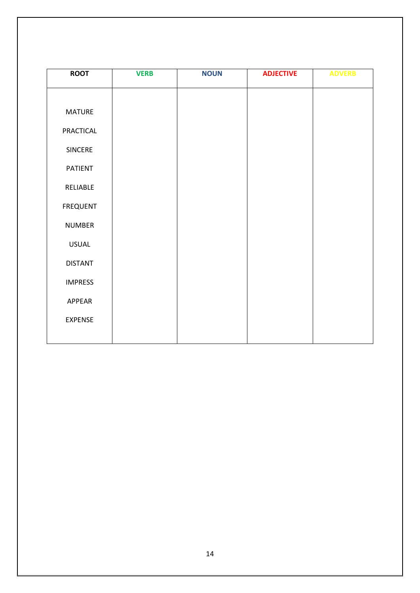| <b>ROOT</b>    | <b>VERB</b> | <b>NOUN</b> | <b>ADJECTIVE</b> | <b>ADVERB</b> |
|----------------|-------------|-------------|------------------|---------------|
|                |             |             |                  |               |
| <b>MATURE</b>  |             |             |                  |               |
| PRACTICAL      |             |             |                  |               |
| SINCERE        |             |             |                  |               |
| <b>PATIENT</b> |             |             |                  |               |
| RELIABLE       |             |             |                  |               |
| FREQUENT       |             |             |                  |               |
| <b>NUMBER</b>  |             |             |                  |               |
| <b>USUAL</b>   |             |             |                  |               |
| <b>DISTANT</b> |             |             |                  |               |
| <b>IMPRESS</b> |             |             |                  |               |
| APPEAR         |             |             |                  |               |
| <b>EXPENSE</b> |             |             |                  |               |
|                |             |             |                  |               |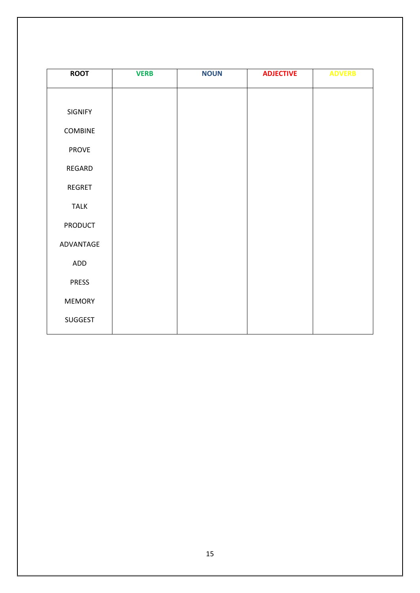| <b>ROOT</b>    | <b>VERB</b> | <b>NOUN</b> | <b>ADJECTIVE</b> | <b>ADVERB</b> |
|----------------|-------------|-------------|------------------|---------------|
|                |             |             |                  |               |
| SIGNIFY        |             |             |                  |               |
| <b>COMBINE</b> |             |             |                  |               |
| <b>PROVE</b>   |             |             |                  |               |
| REGARD         |             |             |                  |               |
| <b>REGRET</b>  |             |             |                  |               |
| <b>TALK</b>    |             |             |                  |               |
| <b>PRODUCT</b> |             |             |                  |               |
| ADVANTAGE      |             |             |                  |               |
| ADD            |             |             |                  |               |
| <b>PRESS</b>   |             |             |                  |               |
| <b>MEMORY</b>  |             |             |                  |               |
| SUGGEST        |             |             |                  |               |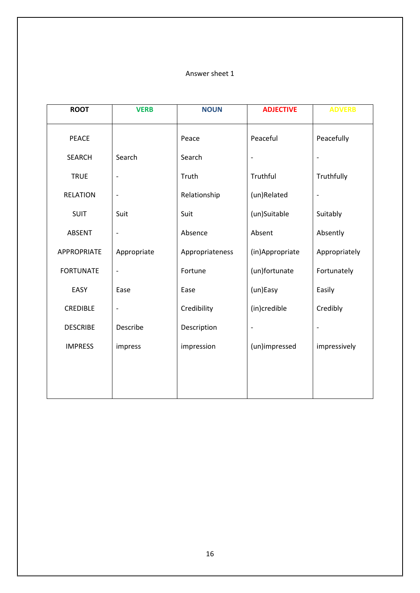| <b>ROOT</b>        | <b>VERB</b>              | <b>NOUN</b>     | <b>ADJECTIVE</b>         | <b>ADVERB</b> |
|--------------------|--------------------------|-----------------|--------------------------|---------------|
| <b>PEACE</b>       |                          | Peace           | Peaceful                 | Peacefully    |
| <b>SEARCH</b>      | Search                   | Search          | $\overline{\phantom{a}}$ |               |
| <b>TRUE</b>        | $\overline{\phantom{a}}$ | Truth           | Truthful                 | Truthfully    |
| <b>RELATION</b>    | $\overline{\phantom{a}}$ | Relationship    | (un)Related              |               |
| <b>SUIT</b>        | Suit                     | Suit            | (un)Suitable             | Suitably      |
| <b>ABSENT</b>      | $\overline{\phantom{a}}$ | Absence         | Absent                   | Absently      |
| <b>APPROPRIATE</b> | Appropriate              | Appropriateness | (in)Appropriate          | Appropriately |
| <b>FORTUNATE</b>   | $\overline{\phantom{a}}$ | Fortune         | (un)fortunate            | Fortunately   |
| EASY               | Ease                     | Ease            | (un)Easy                 | Easily        |
| <b>CREDIBLE</b>    | $\overline{\phantom{a}}$ | Credibility     | (in)credible             | Credibly      |
| <b>DESCRIBE</b>    | Describe                 | Description     | $\overline{\phantom{0}}$ |               |
| <b>IMPRESS</b>     | impress                  | impression      | (un)impressed            | impressively  |
|                    |                          |                 |                          |               |
|                    |                          |                 |                          |               |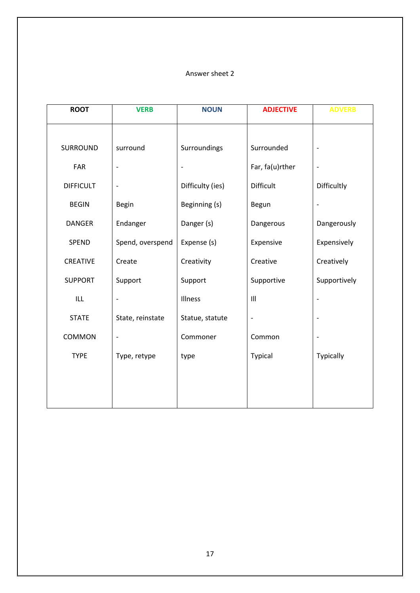| <b>ROOT</b>      | <b>VERB</b>              | <b>NOUN</b>      | <b>ADJECTIVE</b> | <b>ADVERB</b>            |
|------------------|--------------------------|------------------|------------------|--------------------------|
|                  |                          |                  |                  |                          |
| SURROUND         | surround                 | Surroundings     | Surrounded       |                          |
| FAR              | $\overline{\phantom{a}}$ |                  | Far, fa(u)rther  |                          |
| <b>DIFFICULT</b> | $\overline{\phantom{a}}$ | Difficulty (ies) | Difficult        | Difficultly              |
| <b>BEGIN</b>     | Begin                    | Beginning (s)    | Begun            | $\overline{\phantom{a}}$ |
| <b>DANGER</b>    | Endanger                 | Danger (s)       | Dangerous        | Dangerously              |
| SPEND            | Spend, overspend         | Expense (s)      | Expensive        | Expensively              |
| <b>CREATIVE</b>  | Create                   | Creativity       | Creative         | Creatively               |
| <b>SUPPORT</b>   | Support                  | Support          | Supportive       | Supportively             |
| <b>ILL</b>       | $\overline{\phantom{a}}$ | Illness          | III              |                          |
| <b>STATE</b>     | State, reinstate         | Statue, statute  |                  |                          |
| COMMON           | $\overline{\phantom{a}}$ | Commoner         | Common           |                          |
| <b>TYPE</b>      | Type, retype             | type             | <b>Typical</b>   | Typically                |
|                  |                          |                  |                  |                          |
|                  |                          |                  |                  |                          |
|                  |                          |                  |                  |                          |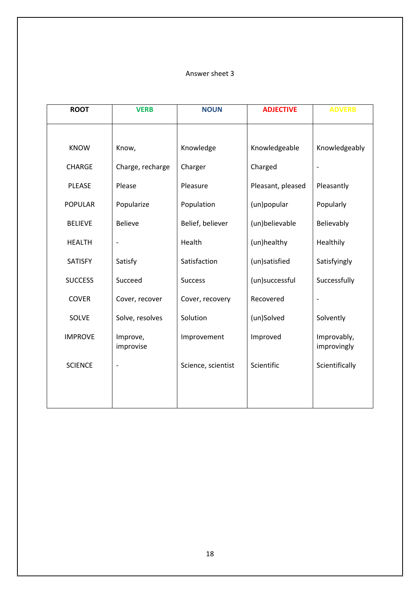| <b>ROOT</b>    | <b>VERB</b>           | <b>NOUN</b>        | <b>ADJECTIVE</b>  | <b>ADVERB</b>              |
|----------------|-----------------------|--------------------|-------------------|----------------------------|
|                |                       |                    |                   |                            |
| <b>KNOW</b>    | Know,                 | Knowledge          | Knowledgeable     | Knowledgeably              |
| <b>CHARGE</b>  | Charge, recharge      | Charger            | Charged           |                            |
| <b>PLEASE</b>  | Please                | Pleasure           | Pleasant, pleased | Pleasantly                 |
| <b>POPULAR</b> | Popularize            | Population         | (un)popular       | Popularly                  |
| <b>BELIEVE</b> | <b>Believe</b>        | Belief, believer   | (un)believable    | Believably                 |
| <b>HEALTH</b>  | $\blacksquare$        | Health             | (un)healthy       | Healthily                  |
| <b>SATISFY</b> | Satisfy               | Satisfaction       | (un)satisfied     | Satisfyingly               |
| <b>SUCCESS</b> | Succeed               | <b>Success</b>     | (un)successful    | Successfully               |
| <b>COVER</b>   | Cover, recover        | Cover, recovery    | Recovered         |                            |
| SOLVE          | Solve, resolves       | Solution           | (un)Solved        | Solvently                  |
| <b>IMPROVE</b> | Improve,<br>improvise | Improvement        | Improved          | Improvably,<br>improvingly |
| <b>SCIENCE</b> |                       | Science, scientist | Scientific        | Scientifically             |
|                |                       |                    |                   |                            |
|                |                       |                    |                   |                            |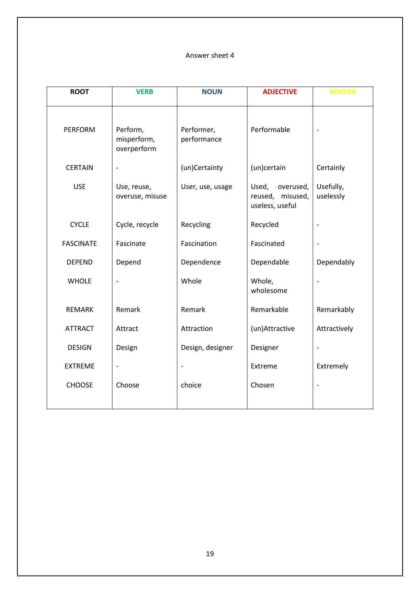| <b>ROOT</b>      | <b>VERB</b>                            | <b>NOUN</b>               | <b>ADJECTIVE</b>                                             | <b>ADVERB</b>          |
|------------------|----------------------------------------|---------------------------|--------------------------------------------------------------|------------------------|
| <b>PERFORM</b>   | Perform,<br>misperform,<br>overperform | Performer,<br>performance | Performable                                                  |                        |
| <b>CERTAIN</b>   | $\qquad \qquad \blacksquare$           | (un)Certainty             | (un)certain                                                  | Certainly              |
| <b>USE</b>       | Use, reuse,<br>overuse, misuse         | User, use, usage          | Used,<br>overused,<br>reused,<br>misused,<br>useless, useful | Usefully,<br>uselessly |
| <b>CYCLE</b>     | Cycle, recycle                         | Recycling                 | Recycled                                                     |                        |
| <b>FASCINATE</b> | Fascinate                              | Fascination               | Fascinated                                                   | $\overline{a}$         |
| <b>DEPEND</b>    | Depend                                 | Dependence                | Dependable                                                   | Dependably             |
| <b>WHOLE</b>     |                                        | Whole                     | Whole,<br>wholesome                                          |                        |
| <b>REMARK</b>    | Remark                                 | Remark                    | Remarkable                                                   | Remarkably             |
| <b>ATTRACT</b>   | Attract                                | Attraction                | (un)Attractive                                               | Attractively           |
| <b>DESIGN</b>    | Design                                 | Design, designer          | Designer                                                     | -                      |
| <b>EXTREME</b>   |                                        |                           | Extreme                                                      | Extremely              |
| <b>CHOOSE</b>    | Choose                                 | choice                    | Chosen                                                       | $\overline{a}$         |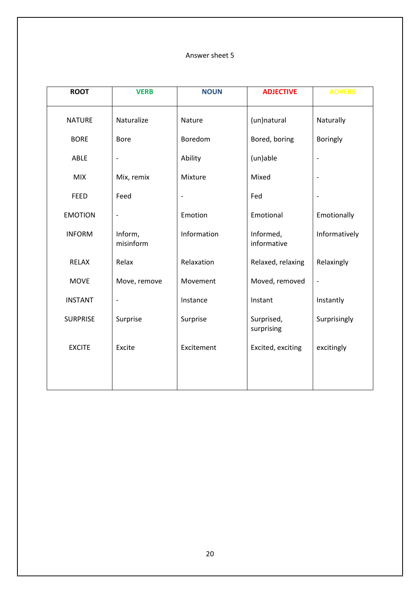| <b>ROOT</b>     | <b>VERB</b>                  | <b>NOUN</b>              | <b>ADJECTIVE</b>         | <b>ADVERB</b>            |
|-----------------|------------------------------|--------------------------|--------------------------|--------------------------|
| <b>NATURE</b>   | Naturalize                   | Nature                   | (un)natural              | Naturally                |
| <b>BORE</b>     | <b>Bore</b>                  | Boredom                  | Bored, boring            | <b>Boringly</b>          |
| ABLE            | $\qquad \qquad -$            | Ability                  | (un)able                 |                          |
| <b>MIX</b>      | Mix, remix                   | Mixture                  | Mixed                    | $\overline{a}$           |
| <b>FEED</b>     | Feed                         | $\overline{\phantom{m}}$ | Fed                      | $\overline{\phantom{a}}$ |
| <b>EMOTION</b>  | $\qquad \qquad \blacksquare$ | Emotion                  | Emotional                | Emotionally              |
| <b>INFORM</b>   | Inform,<br>misinform         | Information              | Informed,<br>informative | Informatively            |
| <b>RELAX</b>    | Relax                        | Relaxation               | Relaxed, relaxing        | Relaxingly               |
| <b>MOVE</b>     | Move, remove                 | Movement                 | Moved, removed           | -                        |
| <b>INSTANT</b>  | $\qquad \qquad \blacksquare$ | Instance                 | Instant                  | Instantly                |
| <b>SURPRISE</b> | Surprise                     | Surprise                 | Surprised,<br>surprising | Surprisingly             |
| <b>EXCITE</b>   | Excite                       | Excitement               | Excited, exciting        | excitingly               |
|                 |                              |                          |                          |                          |
|                 |                              |                          |                          |                          |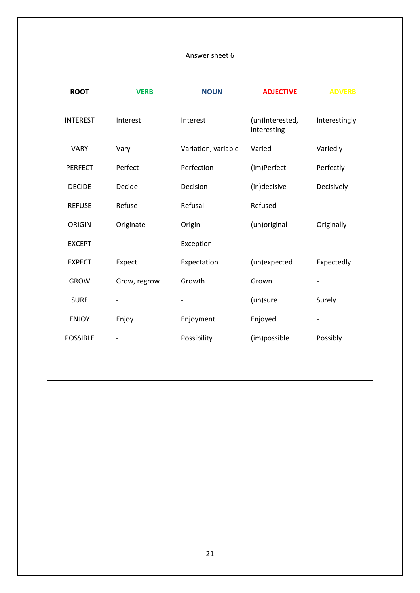| <b>ROOT</b>     | <b>VERB</b>              | <b>NOUN</b>         | <b>ADJECTIVE</b>               | <b>ADVERB</b>            |
|-----------------|--------------------------|---------------------|--------------------------------|--------------------------|
| <b>INTEREST</b> | Interest                 | Interest            | (un)Interested,<br>interesting | Interestingly            |
| <b>VARY</b>     | Vary                     | Variation, variable | Varied                         | Variedly                 |
| <b>PERFECT</b>  | Perfect                  | Perfection          | (im)Perfect                    | Perfectly                |
| <b>DECIDE</b>   | Decide                   | Decision            | (in)decisive                   | Decisively               |
| <b>REFUSE</b>   | Refuse                   | Refusal             | Refused                        |                          |
| <b>ORIGIN</b>   | Originate                | Origin              | (un) original                  | Originally               |
| <b>EXCEPT</b>   | $\overline{\phantom{0}}$ | Exception           |                                |                          |
| <b>EXPECT</b>   | Expect                   | Expectation         | (un)expected                   | Expectedly               |
| <b>GROW</b>     | Grow, regrow             | Growth              | Grown                          |                          |
| <b>SURE</b>     | $\overline{\phantom{a}}$ |                     | (un)sure                       | Surely                   |
| <b>ENJOY</b>    | Enjoy                    | Enjoyment           | Enjoyed                        | $\overline{\phantom{a}}$ |
| <b>POSSIBLE</b> |                          | Possibility         | (im)possible                   | Possibly                 |
|                 |                          |                     |                                |                          |
|                 |                          |                     |                                |                          |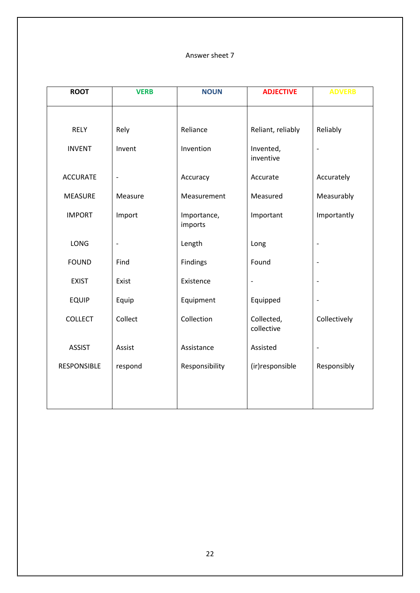| <b>ROOT</b>     | <b>VERB</b>                  | <b>NOUN</b>            | <b>ADJECTIVE</b>         | <b>ADVERB</b>                |
|-----------------|------------------------------|------------------------|--------------------------|------------------------------|
|                 |                              |                        |                          |                              |
| <b>RELY</b>     | Rely                         | Reliance               | Reliant, reliably        | Reliably                     |
| <b>INVENT</b>   | Invent                       | Invention              | Invented,<br>inventive   | $\frac{1}{2}$                |
| <b>ACCURATE</b> | $\qquad \qquad \blacksquare$ | Accuracy               | Accurate                 | Accurately                   |
| <b>MEASURE</b>  | Measure                      | Measurement            | Measured                 | Measurably                   |
| <b>IMPORT</b>   | Import                       | Importance,<br>imports | Important                | Importantly                  |
| <b>LONG</b>     | $\qquad \qquad \blacksquare$ | Length                 | Long                     | $\overline{\phantom{0}}$     |
| <b>FOUND</b>    | Find                         | Findings               | Found                    | $\overline{a}$               |
| <b>EXIST</b>    | Exist                        | Existence              | $\blacksquare$           | $\overline{a}$               |
| <b>EQUIP</b>    | Equip                        | Equipment              | Equipped                 | $\qquad \qquad \blacksquare$ |
| <b>COLLECT</b>  | Collect                      | Collection             | Collected,<br>collective | Collectively                 |
| <b>ASSIST</b>   | Assist                       | Assistance             | Assisted                 | $\overline{a}$               |
| RESPONSIBLE     | respond                      | Responsibility         | (ir)responsible          | Responsibly                  |
|                 |                              |                        |                          |                              |
|                 |                              |                        |                          |                              |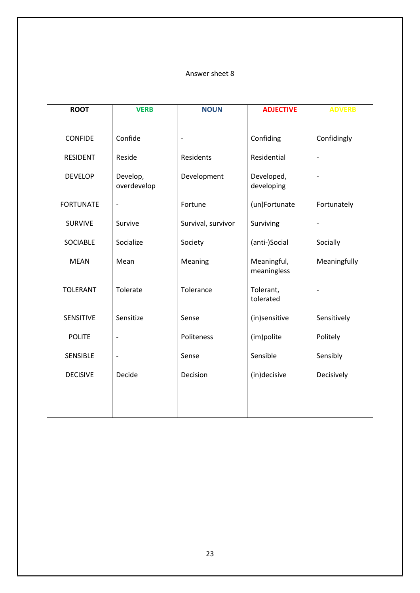| <b>ROOT</b>      | <b>VERB</b>              | <b>NOUN</b>        | <b>ADJECTIVE</b>           | <b>ADVERB</b>                |
|------------------|--------------------------|--------------------|----------------------------|------------------------------|
| <b>CONFIDE</b>   | Confide                  | $\overline{a}$     | Confiding                  | Confidingly                  |
| <b>RESIDENT</b>  | Reside                   | Residents          | Residential                | $\qquad \qquad \blacksquare$ |
| <b>DEVELOP</b>   | Develop,<br>overdevelop  | Development        | Developed,<br>developing   | $\overline{a}$               |
| <b>FORTUNATE</b> | $\blacksquare$           | Fortune            | (un)Fortunate              | Fortunately                  |
| <b>SURVIVE</b>   | Survive                  | Survival, survivor | Surviving                  |                              |
| <b>SOCIABLE</b>  | Socialize                | Society            | (anti-)Social              | Socially                     |
| <b>MEAN</b>      | Mean                     | Meaning            | Meaningful,<br>meaningless | Meaningfully                 |
| <b>TOLERANT</b>  | Tolerate                 | Tolerance          | Tolerant,<br>tolerated     |                              |
| SENSITIVE        | Sensitize                | Sense              | (in)sensitive              | Sensitively                  |
| <b>POLITE</b>    | $\overline{\phantom{a}}$ | Politeness         | (im)polite                 | Politely                     |
| SENSIBLE         | $\overline{\phantom{a}}$ | Sense              | Sensible                   | Sensibly                     |
| <b>DECISIVE</b>  | Decide                   | Decision           | (in)decisive               | Decisively                   |
|                  |                          |                    |                            |                              |
|                  |                          |                    |                            |                              |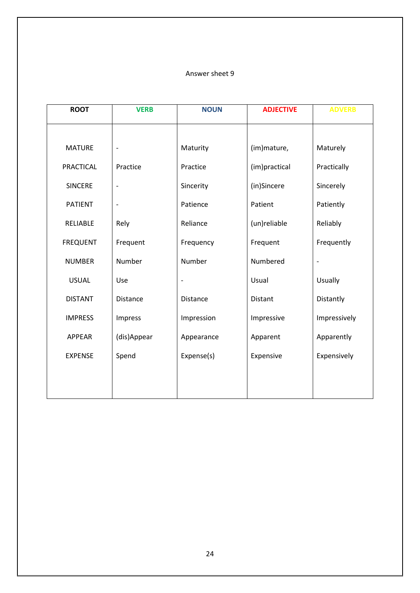| <b>ROOT</b>      | <b>VERB</b>                  | <b>NOUN</b>              | <b>ADJECTIVE</b> | <b>ADVERB</b> |
|------------------|------------------------------|--------------------------|------------------|---------------|
|                  |                              |                          |                  |               |
| <b>MATURE</b>    | $\overline{\phantom{a}}$     | Maturity                 | (im)mature,      | Maturely      |
| <b>PRACTICAL</b> | Practice                     | Practice                 | (im)practical    | Practically   |
| <b>SINCERE</b>   | $\overline{\phantom{a}}$     | Sincerity                | (in)Sincere      | Sincerely     |
| <b>PATIENT</b>   | $\qquad \qquad \blacksquare$ | Patience                 | Patient          | Patiently     |
| RELIABLE         | Rely                         | Reliance                 | (un)reliable     | Reliably      |
| <b>FREQUENT</b>  | Frequent                     | Frequency                | Frequent         | Frequently    |
| <b>NUMBER</b>    | Number                       | Number                   | Numbered         |               |
| <b>USUAL</b>     | Use                          | $\overline{\phantom{a}}$ | Usual            | Usually       |
| <b>DISTANT</b>   | <b>Distance</b>              | Distance                 | Distant          | Distantly     |
| <b>IMPRESS</b>   | Impress                      | Impression               | Impressive       | Impressively  |
| <b>APPEAR</b>    | (dis)Appear                  | Appearance               | Apparent         | Apparently    |
| <b>EXPENSE</b>   | Spend                        | Expense(s)               | Expensive        | Expensively   |
|                  |                              |                          |                  |               |
|                  |                              |                          |                  |               |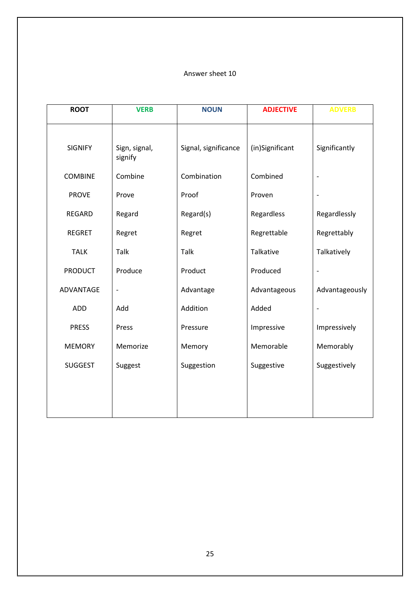| <b>ROOT</b>    | <b>VERB</b>              | <b>NOUN</b>          | <b>ADJECTIVE</b> | <b>ADVERB</b>  |
|----------------|--------------------------|----------------------|------------------|----------------|
| <b>SIGNIFY</b> | Sign, signal,<br>signify | Signal, significance | (in)Significant  | Significantly  |
| <b>COMBINE</b> | Combine                  | Combination          | Combined         |                |
| <b>PROVE</b>   | Prove                    | Proof                | Proven           |                |
| <b>REGARD</b>  | Regard                   | Regard(s)            | Regardless       | Regardlessly   |
| <b>REGRET</b>  | Regret                   | Regret               | Regrettable      | Regrettably    |
| <b>TALK</b>    | Talk                     | Talk                 | Talkative        | Talkatively    |
| <b>PRODUCT</b> | Produce                  | Product              | Produced         |                |
| ADVANTAGE      | $\qquad \qquad -$        | Advantage            | Advantageous     | Advantageously |
| ADD            | Add                      | Addition             | Added            |                |
| <b>PRESS</b>   | Press                    | Pressure             | Impressive       | Impressively   |
| <b>MEMORY</b>  | Memorize                 | Memory               | Memorable        | Memorably      |
| <b>SUGGEST</b> | Suggest                  | Suggestion           | Suggestive       | Suggestively   |
|                |                          |                      |                  |                |
|                |                          |                      |                  |                |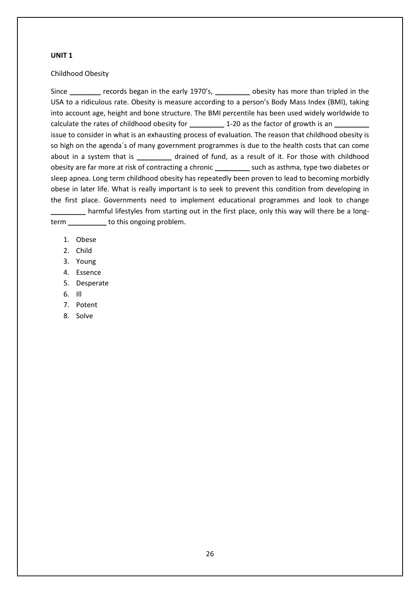#### Childhood Obesity

Since **\_\_\_\_\_\_\_\_** records began in the early 1970's, **\_\_\_\_\_\_\_\_\_** obesity has more than tripled in the USA to a ridiculous rate. Obesity is measure according to a person's Body Mass Index (BMI), taking into account age, height and bone structure. The BMI percentile has been used widely worldwide to calculate the rates of childhood obesity for **1-20** as the factor of growth is an issue to consider in what is an exhausting process of evaluation. The reason that childhood obesity is so high on the agenda´s of many government programmes is due to the health costs that can come about in a system that is **\_\_\_\_\_\_\_\_\_** drained of fund, as a result of it. For those with childhood obesity are far more at risk of contracting a chronic **\_\_\_\_\_\_\_\_\_** such as asthma, type two diabetes or sleep apnea. Long term childhood obesity has repeatedly been proven to lead to becoming morbidly obese in later life. What is really important is to seek to prevent this condition from developing in the first place. Governments need to implement educational programmes and look to change **\_\_\_\_\_\_\_\_\_** harmful lifestyles from starting out in the first place, only this way will there be a longterm **\_\_\_\_\_\_\_\_\_\_** to this ongoing problem.

- 1. Obese
- 2. Child
- 3. Young
- 4. Essence
- 5. Desperate
- 6. Ill
- 7. Potent
- 8. Solve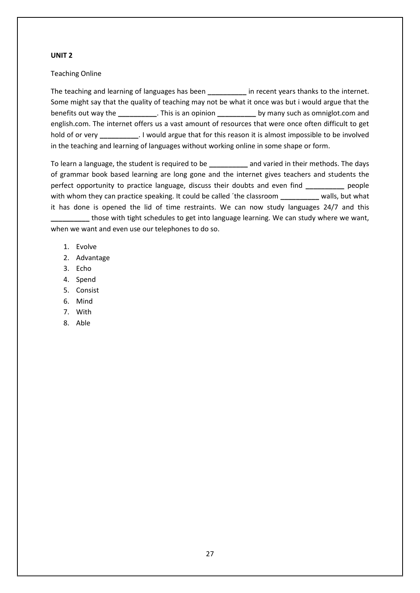#### Teaching Online

The teaching and learning of languages has been **\_\_\_\_\_\_\_\_\_\_** in recent years thanks to the internet. Some might say that the quality of teaching may not be what it once was but i would argue that the benefits out way the **\_\_\_\_\_\_\_\_\_\_**. This is an opinion **\_\_\_\_\_\_\_\_\_\_** by many such as omniglot.com and english.com. The internet offers us a vast amount of resources that were once often difficult to get hold of or very **\_\_\_\_\_\_\_\_\_\_**. I would argue that for this reason it is almost impossible to be involved in the teaching and learning of languages without working online in some shape or form.

To learn a language, the student is required to be **\_\_\_\_\_\_\_\_\_\_** and varied in their methods. The days of grammar book based learning are long gone and the internet gives teachers and students the perfect opportunity to practice language, discuss their doubts and even find **\_\_\_\_\_\_\_\_\_\_** people with whom they can practice speaking. It could be called ´the classroom **\_\_\_\_\_\_\_\_\_\_** walls, but what it has done is opened the lid of time restraints. We can now study languages 24/7 and this **\_\_\_\_\_\_\_\_\_\_** those with tight schedules to get into language learning. We can study where we want, when we want and even use our telephones to do so.

- 1. Evolve
- 2. Advantage
- 3. Echo
- 4. Spend
- 5. Consist
- 6. Mind
- 7. With
- 8. Able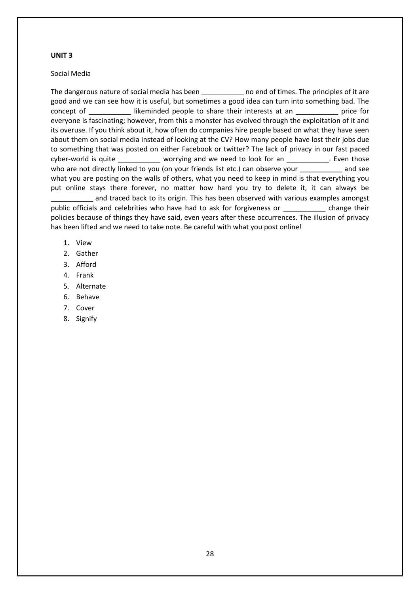#### Social Media

The dangerous nature of social media has been **\_\_\_\_\_\_\_\_\_\_** no end of times. The principles of it are good and we can see how it is useful, but sometimes a good idea can turn into something bad. The concept of **\_\_\_\_\_\_\_\_\_\_** likeminded people to share their interests at an **\_\_\_\_\_\_\_\_\_\_** price for everyone is fascinating; however, from this a monster has evolved through the exploitation of it and its overuse. If you think about it, how often do companies hire people based on what they have seen about them on social media instead of looking at the CV? How many people have lost their jobs due to something that was posted on either Facebook or twitter? The lack of privacy in our fast paced cyber-world is quite **\_\_\_\_\_\_\_\_\_\_** worrying and we need to look for an **\_\_\_\_\_\_\_\_\_\_**. Even those who are not directly linked to you (on your friends list etc.) can observe your **\_\_\_\_\_\_\_\_\_\_** and see what you are posting on the walls of others, what you need to keep in mind is that everything you put online stays there forever, no matter how hard you try to delete it, it can always be **\_\_\_\_\_\_\_\_\_\_** and traced back to its origin. This has been observed with various examples amongst

public officials and celebrities who have had to ask for forgiveness or **\_\_\_\_\_\_\_\_\_\_** change their policies because of things they have said, even years after these occurrences. The illusion of privacy has been lifted and we need to take note. Be careful with what you post online!

- 1. View
- 2. Gather
- 3. Afford
- 4. Frank
- 5. Alternate
- 6. Behave
- 7. Cover
- 8. Signify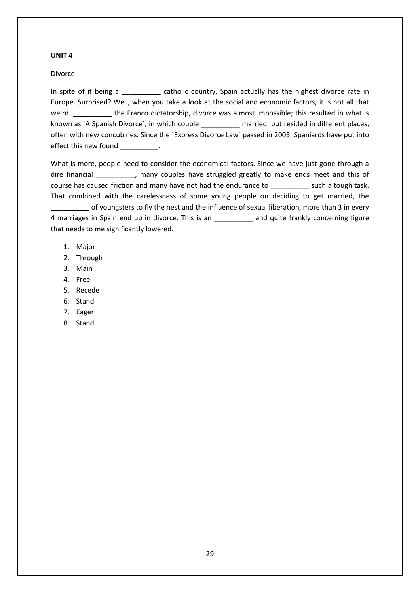#### Divorce

In spite of it being a **\_\_\_\_\_\_\_\_\_\_** catholic country, Spain actually has the highest divorce rate in Europe. Surprised? Well, when you take a look at the social and economic factors, it is not all that weird. **\_\_\_\_\_\_\_\_\_\_** the Franco dictatorship, divorce was almost impossible; this resulted in what is known as ´A Spanish Divorce´, in which couple **\_\_\_\_\_\_\_\_\_\_** married, but resided in different places, often with new concubines. Since the ´Express Divorce Law´ passed in 2005, Spaniards have put into effect this new found \_\_\_\_\_\_\_\_\_\_\_.

What is more, people need to consider the economical factors. Since we have just gone through a dire financial **\_\_\_\_\_\_\_\_\_\_**, many couples have struggled greatly to make ends meet and this of course has caused friction and many have not had the endurance to **\_\_\_\_\_\_\_\_\_\_** such a tough task. That combined with the carelessness of some young people on deciding to get married, the **\_\_\_\_\_\_\_\_\_\_** of youngsters to fly the nest and the influence of sexual liberation, more than 3 in every 4 marriages in Spain end up in divorce. This is an **\_\_\_\_\_\_\_\_\_\_** and quite frankly concerning figure that needs to me significantly lowered.

- 1. Major
- 2. Through
- 3. Main
- 4. Free
- 5. Recede
- 6. Stand
- 7. Eager
- 8. Stand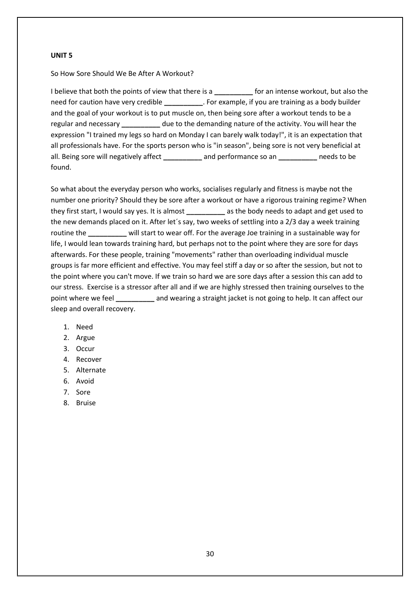So How Sore Should We Be After A Workout?

I believe that both the points of view that there is a **\_\_\_\_\_\_\_\_\_\_** for an intense workout, but also the need for caution have very credible **\_\_\_\_\_\_\_\_\_\_**. For example, if you are training as a body builder and the goal of your workout is to put muscle on, then being sore after a workout tends to be a regular and necessary **\_\_\_\_\_\_\_\_\_\_** due to the demanding nature of the activity. You will hear the expression "I trained my legs so hard on Monday I can barely walk today!", it is an expectation that all professionals have. For the sports person who is "in season", being sore is not very beneficial at all. Being sore will negatively affect **\_\_\_\_\_\_\_\_\_\_** and performance so an **\_\_\_\_\_\_\_\_\_\_** needs to be found.

So what about the everyday person who works, socialises regularly and fitness is maybe not the number one priority? Should they be sore after a workout or have a rigorous training regime? When they first start, I would say yes. It is almost **\_\_\_\_\_\_\_\_\_\_** as the body needs to adapt and get used to the new demands placed on it. After let´s say, two weeks of settling into a 2/3 day a week training routine the **\_\_\_\_\_\_\_\_\_\_** will start to wear off. For the average Joe training in a sustainable way for life, I would lean towards training hard, but perhaps not to the point where they are sore for days afterwards. For these people, training "movements" rather than overloading individual muscle groups is far more efficient and effective. You may feel stiff a day or so after the session, but not to the point where you can't move. If we train so hard we are sore days after a session this can add to our stress. Exercise is a stressor after all and if we are highly stressed then training ourselves to the point where we feel **\_\_\_\_\_\_\_\_\_\_** and wearing a straight jacket is not going to help. It can affect our sleep and overall recovery.

- 1. Need
- 2. Argue
- 3. Occur
- 4. Recover
- 5. Alternate
- 6. Avoid
- 7. Sore
- 8. Bruise